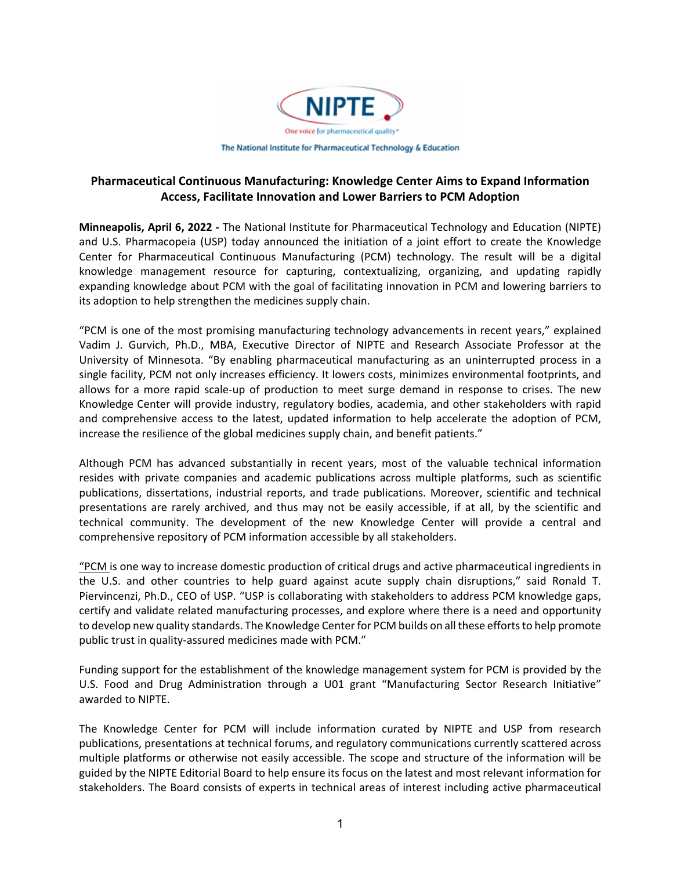

## **Pharmaceutical Continuous Manufacturing: Knowledge Center Aims to Expand Information Access, Facilitate Innovation and Lower Barriers to PCM Adoption**

**Minneapolis, April 6, 2022 ‐** The National Institute for Pharmaceutical Technology and Education (NIPTE) and U.S. Pharmacopeia (USP) today announced the initiation of a joint effort to create the Knowledge Center for Pharmaceutical Continuous Manufacturing (PCM) technology. The result will be a digital knowledge management resource for capturing, contextualizing, organizing, and updating rapidly expanding knowledge about PCM with the goal of facilitating innovation in PCM and lowering barriers to its adoption to help strengthen the medicines supply chain.

"PCM is one of the most promising manufacturing technology advancements in recent years," explained Vadim J. Gurvich, Ph.D., MBA, Executive Director of NIPTE and Research Associate Professor at the University of Minnesota. "By enabling pharmaceutical manufacturing as an uninterrupted process in a single facility, PCM not only increases efficiency. It lowers costs, minimizes environmental footprints, and allows for a more rapid scale‐up of production to meet surge demand in response to crises. The new Knowledge Center will provide industry, regulatory bodies, academia, and other stakeholders with rapid and comprehensive access to the latest, updated information to help accelerate the adoption of PCM, increase the resilience of the global medicines supply chain, and benefit patients."

Although PCM has advanced substantially in recent years, most of the valuable technical information resides with private companies and academic publications across multiple platforms, such as scientific publications, dissertations, industrial reports, and trade publications. Moreover, scientific and technical presentations are rarely archived, and thus may not be easily accessible, if at all, by the scientific and technical community. The development of the new Knowledge Center will provide a central and comprehensive repository of PCM information accessible by all stakeholders.

"PCM is one way to increase domestic production of critical drugs and active pharmaceutical ingredients in the U.S. and other countries to help guard against acute supply chain disruptions," said Ronald T. Piervincenzi, Ph.D., CEO of USP. "USP is collaborating with stakeholders to address PCM knowledge gaps, certify and validate related manufacturing processes, and explore where there is a need and opportunity to develop new quality standards. The Knowledge Center for PCM builds on all these efforts to help promote public trust in quality-assured medicines made with PCM."

Funding support for the establishment of the knowledge management system for PCM is provided by the U.S. Food and Drug Administration through a U01 grant "Manufacturing Sector Research Initiative" awarded to NIPTE.

The Knowledge Center for PCM will include information curated by NIPTE and USP from research publications, presentations at technical forums, and regulatory communications currently scattered across multiple platforms or otherwise not easily accessible. The scope and structure of the information will be guided by the NIPTE Editorial Board to help ensure its focus on the latest and most relevant information for stakeholders. The Board consists of experts in technical areas of interest including active pharmaceutical